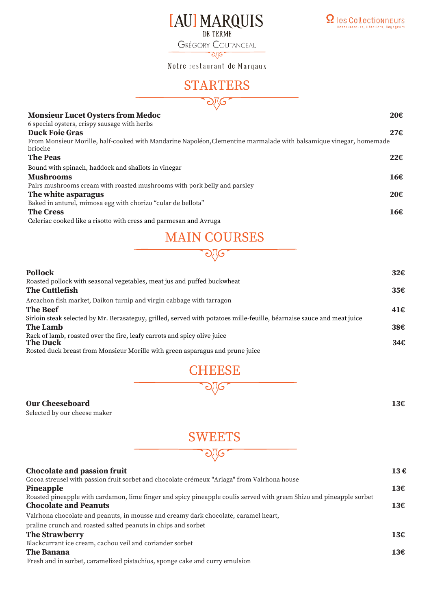

**GRÉGORY COUTANCEAU** ৠত

Notre restaurant de Margaux

## **STARTERS**



#### **Monsieur Lucet Oysters from Medoc 20€**

| 6 special oysters, crispy sausage with herbs                                                                                  |     |
|-------------------------------------------------------------------------------------------------------------------------------|-----|
| <b>Duck Foie Gras</b>                                                                                                         | 27€ |
| From Monsieur Morille, half-cooked with Mandarine Napoléon, Clementine marmalade with balsamique vinegar, homemade<br>brioche |     |
|                                                                                                                               |     |
| <b>The Peas</b>                                                                                                               | 22f |
| Bound with spinach, haddock and shallots in vinegar                                                                           |     |
| <b>Mushrooms</b>                                                                                                              | 16€ |
| Pairs mushrooms cream with roasted mushrooms with pork belly and parsley                                                      |     |
| The white asparagus                                                                                                           | 20€ |
| Baked in anturel, mimosa egg with chorizo "cular de bellota"                                                                  |     |
| <b>The Cress</b>                                                                                                              | 166 |
| Coloriac cooled like a ricette with executed narrocens and Avruese                                                            |     |

Celeriac cooked like a risotto with cress and parmesan and Avruga

## MAIN COURSES

ව\ල

| <b>Pollock</b>                                                                                                         | $32\epsilon$ |
|------------------------------------------------------------------------------------------------------------------------|--------------|
| Roasted pollock with seasonal vegetables, meat jus and puffed buckwheat                                                |              |
| <b>The Cuttlefish</b>                                                                                                  | 35€          |
| Arcachon fish market, Daikon turnip and virgin cabbage with tarragon                                                   |              |
| <b>The Beef</b>                                                                                                        | 41€          |
| Sirloin steak selected by Mr. Berasateguy, grilled, served with potatoes mille-feuille, béarnaise sauce and meat juice |              |
| <b>The Lamb</b>                                                                                                        | 38€          |
| Rack of lamb, roasted over the fire, leafy carrots and spicy olive juice<br><b>The Duck</b>                            | 34€          |
| Rosted duck breast from Monsieur Morille with green asparagus and prune juice                                          |              |
|                                                                                                                        |              |



#### **Our Cheeseboard 13€**

Selected by our cheese maker

# **SWEETS**

| <b>Chocolate and passion fruit</b>                                                                                   | 13€ |
|----------------------------------------------------------------------------------------------------------------------|-----|
| Cocoa streusel with passion fruit sorbet and chocolate crémeux "Ariaga" from Valrhona house                          |     |
| Pineapple                                                                                                            | 13€ |
| Roasted pineapple with cardamon, lime finger and spicy pineapple coulis served with green Shizo and pineapple sorbet |     |
| <b>Chocolate and Peanuts</b>                                                                                         | 13€ |
| Valrhona chocolate and peanuts, in mousse and creamy dark chocolate, caramel heart,                                  |     |
| praline crunch and roasted salted peanuts in chips and sorbet                                                        |     |
| <b>The Strawberry</b>                                                                                                | 13€ |
| Blackcurrant ice cream, cachou veil and coriander sorbet                                                             |     |
| <b>The Banana</b>                                                                                                    | 13€ |
| Fresh and in sorbet, caramelized pistachios, sponge cake and curry emulsion                                          |     |
|                                                                                                                      |     |